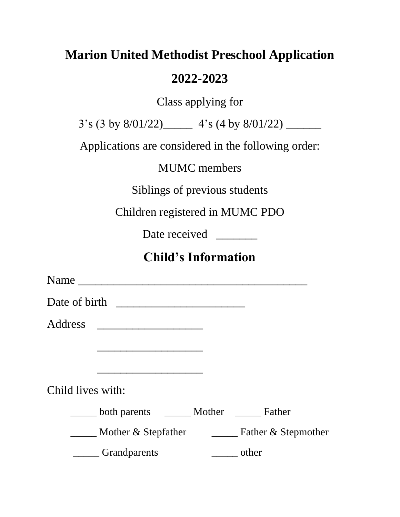### **Marion United Methodist Preschool Application**

#### **2022-2023**

Class applying for

3's (3 by 8/01/22)\_\_\_\_\_ 4's (4 by 8/01/22) \_\_\_\_\_\_

Applications are considered in the following order:

MUMC members

Siblings of previous students

Children registered in MUMC PDO

Date received

### **Child's Information**

Name \_\_\_\_\_\_\_\_\_\_\_\_\_\_\_\_\_\_\_\_\_\_\_\_\_\_\_\_\_\_\_\_\_\_\_\_\_\_\_ Date of birth \_\_\_\_\_\_\_\_\_\_\_\_\_\_\_\_\_\_\_\_\_\_ Address \_\_\_\_\_\_\_\_\_\_\_\_\_\_\_\_\_\_  $\overline{\phantom{a}}$  , which is a set of the set of the set of the set of the set of the set of the set of the set of the set of the set of the set of the set of the set of the set of the set of the set of the set of the set of th Child lives with: \_\_\_\_\_ both parents \_\_\_\_\_ Mother \_\_\_\_\_ Father \_\_\_\_\_ Mother & Stepfather \_\_\_\_\_ Father & Stepmother \_\_\_\_\_ Grandparents \_\_\_\_\_ other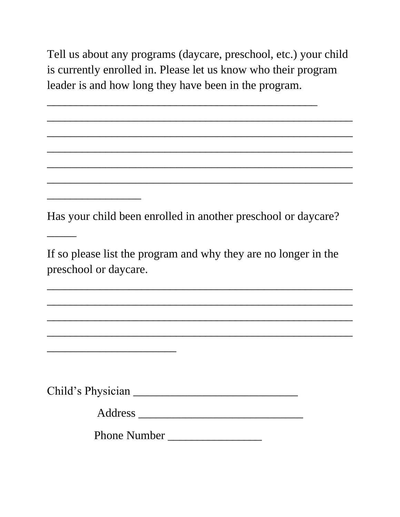Tell us about any programs (daycare, preschool, etc.) your child is currently enrolled in. Please let us know who their program leader is and how long they have been in the program.

\_\_\_\_\_\_\_\_\_\_\_\_\_\_\_\_\_\_\_\_\_\_\_\_\_\_\_\_\_\_\_\_\_\_\_\_\_\_\_\_\_\_\_\_\_\_\_\_\_\_\_\_

\_\_\_\_\_\_\_\_\_\_\_\_\_\_\_\_\_\_\_\_\_\_\_\_\_\_\_\_\_\_\_\_\_\_\_\_\_\_\_\_\_\_\_\_\_\_\_\_\_\_\_\_

\_\_\_\_\_\_\_\_\_\_\_\_\_\_\_\_\_\_\_\_\_\_\_\_\_\_\_\_\_\_\_\_\_\_\_\_\_\_\_\_\_\_\_\_\_\_\_\_\_\_\_\_

\_\_\_\_\_\_\_\_\_\_\_\_\_\_\_\_\_\_\_\_\_\_\_\_\_\_\_\_\_\_\_\_\_\_\_\_\_\_\_\_\_\_\_\_\_\_\_\_\_\_\_\_

\_\_\_\_\_\_\_\_\_\_\_\_\_\_\_\_\_\_\_\_\_\_\_\_\_\_\_\_\_\_\_\_\_\_\_\_\_\_\_\_\_\_\_\_\_\_

Has your child been enrolled in another preschool or daycare?

\_\_\_\_\_\_\_\_\_\_\_\_\_\_\_\_

\_\_\_\_\_\_\_\_\_\_\_\_\_\_\_\_\_\_\_\_\_\_

\_\_\_\_\_

If so please list the program and why they are no longer in the preschool or daycare.

\_\_\_\_\_\_\_\_\_\_\_\_\_\_\_\_\_\_\_\_\_\_\_\_\_\_\_\_\_\_\_\_\_\_\_\_\_\_\_\_\_\_\_\_\_\_\_\_\_\_\_\_

\_\_\_\_\_\_\_\_\_\_\_\_\_\_\_\_\_\_\_\_\_\_\_\_\_\_\_\_\_\_\_\_\_\_\_\_\_\_\_\_\_\_\_\_\_\_\_\_\_\_\_\_

\_\_\_\_\_\_\_\_\_\_\_\_\_\_\_\_\_\_\_\_\_\_\_\_\_\_\_\_\_\_\_\_\_\_\_\_\_\_\_\_\_\_\_\_\_\_\_\_\_\_\_\_

\_\_\_\_\_\_\_\_\_\_\_\_\_\_\_\_\_\_\_\_\_\_\_\_\_\_\_\_\_\_\_\_\_\_\_\_\_\_\_\_\_\_\_\_\_\_\_\_\_\_\_\_

Child's Physician \_\_\_\_\_\_\_\_\_\_\_\_\_\_\_\_\_\_\_\_\_\_\_\_\_\_\_\_

Address \_\_\_\_\_\_\_\_\_\_\_\_\_\_\_\_\_\_\_\_\_\_\_\_\_\_\_\_

Phone Number \_\_\_\_\_\_\_\_\_\_\_\_\_\_\_\_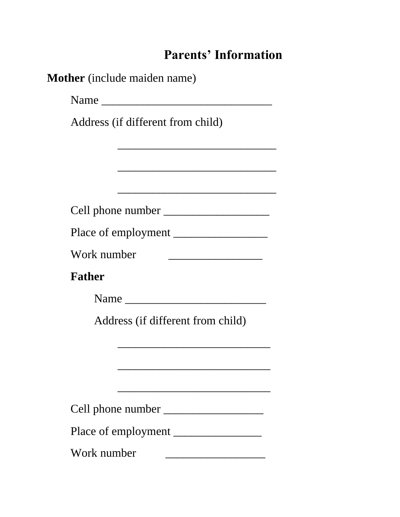# **Parents' Information**

|               | Name                                                                                                                 |
|---------------|----------------------------------------------------------------------------------------------------------------------|
|               | Address (if different from child)                                                                                    |
|               |                                                                                                                      |
|               | <u> 1980 - Johann John Stone, mars eta bat eta bat erroman erroman ez erroman ez erroman ez erroman ez erroman e</u> |
|               |                                                                                                                      |
|               |                                                                                                                      |
|               | Place of employment                                                                                                  |
| Work number   |                                                                                                                      |
| <b>Father</b> |                                                                                                                      |
|               |                                                                                                                      |
|               | Address (if different from child)                                                                                    |
|               |                                                                                                                      |
|               |                                                                                                                      |
|               |                                                                                                                      |
|               |                                                                                                                      |
|               |                                                                                                                      |
|               | Place of employment                                                                                                  |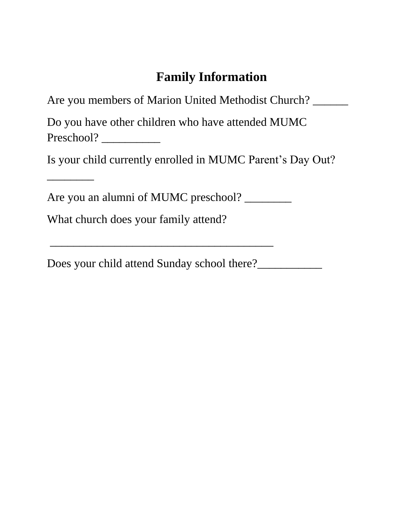## **Family Information**

| Are you members of Marion United Methodist Church? |  |
|----------------------------------------------------|--|
| Do you have other children who have attended MUMC  |  |

Preschool? \_\_\_\_\_\_\_\_\_\_

\_\_\_\_\_\_\_\_

Is your child currently enrolled in MUMC Parent's Day Out?

\_\_\_\_\_\_\_\_\_\_\_\_\_\_\_\_\_\_\_\_\_\_\_\_\_\_\_\_\_\_\_\_\_\_\_\_\_\_

Are you an alumni of MUMC preschool? \_\_\_\_\_\_\_\_

What church does your family attend?

Does your child attend Sunday school there?\_\_\_\_\_\_\_\_\_\_\_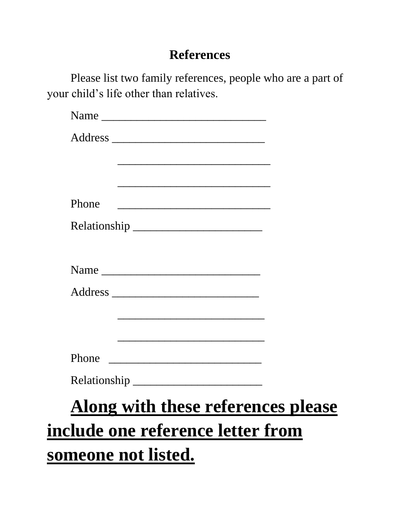#### **References**

Please list two family references, people who are a part of your child's life other than relatives.

|       | <u> 1980 - Johann John Stone, mars and de final and de final and definition of the stone of the stone of the stone of the stone of the stone of the stone of the stone of the stone of the stone of the stone of the stone of th</u> |  |
|-------|--------------------------------------------------------------------------------------------------------------------------------------------------------------------------------------------------------------------------------------|--|
|       | <u> 1989 - Johann John Stone, markin film yn y brening yn y brening yn y brening yn y brening yn y brening yn y b</u>                                                                                                                |  |
| Phone |                                                                                                                                                                                                                                      |  |
|       |                                                                                                                                                                                                                                      |  |
|       |                                                                                                                                                                                                                                      |  |
|       |                                                                                                                                                                                                                                      |  |
|       |                                                                                                                                                                                                                                      |  |
|       | <u> 1989 - Johann Barbara, martin amerikan basal dan berasal dalam basal dalam basal dalam basal dalam basal dala</u>                                                                                                                |  |
|       |                                                                                                                                                                                                                                      |  |
| Phone |                                                                                                                                                                                                                                      |  |
|       |                                                                                                                                                                                                                                      |  |
|       |                                                                                                                                                                                                                                      |  |
|       | Along with these references please                                                                                                                                                                                                   |  |

**someone not listed.**